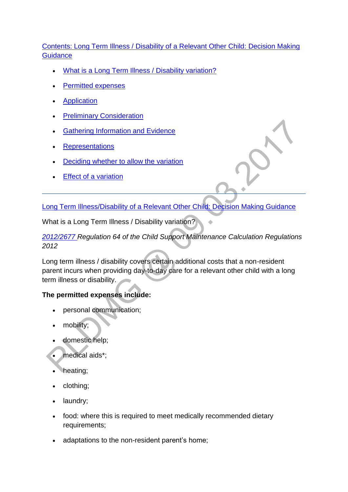## [Contents: Long Term Illness / Disability of a Relevant Other Child: Decision Making](http://np-cmg-sharepoint.link2.gpn.gov.uk/sites/policy-law-and-decision-making-guidance/Pages/Variations/Special%20Expenses/Long-Term-Illness--Disability-of-a-ROC.aspx)  **[Guidance](http://np-cmg-sharepoint.link2.gpn.gov.uk/sites/policy-law-and-decision-making-guidance/Pages/Variations/Special%20Expenses/Long-Term-Illness--Disability-of-a-ROC.aspx)**

- . [What is a Long Term Illness / Disability variation?](http://np-cmg-sharepoint.link2.gpn.gov.uk/sites/policy-law-and-decision-making-guidance/Pages/Variations/Special%20Expenses/Long-Term-Illness--Disability-of-a-ROC.aspx#longtermillnessdisability)
- **[Permitted expenses](http://np-cmg-sharepoint.link2.gpn.gov.uk/sites/policy-law-and-decision-making-guidance/Pages/Variations/Special%20Expenses/Long-Term-Illness--Disability-of-a-ROC.aspx#%23longtermillnessdisability)**
- **[Application](http://np-cmg-sharepoint.link2.gpn.gov.uk/sites/policy-law-and-decision-making-guidance/Pages/Variations/Special%20Expenses/Long-Term-Illness--Disability-of-a-ROC.aspx#LTIDApplication)**
- [Preliminary Consideration](http://np-cmg-sharepoint.link2.gpn.gov.uk/sites/policy-law-and-decision-making-guidance/Pages/Variations/Special%20Expenses/Long-Term-Illness--Disability-of-a-ROC.aspx#LTIDPreliminaryConsideration)
- [Gathering Information and Evidence](http://np-cmg-sharepoint.link2.gpn.gov.uk/sites/policy-law-and-decision-making-guidance/Pages/Variations/Special%20Expenses/Long-Term-Illness--Disability-of-a-ROC.aspx#LTIDEvidence)
- [Representations](http://np-cmg-sharepoint.link2.gpn.gov.uk/sites/policy-law-and-decision-making-guidance/Pages/Variations/Special%20Expenses/Long-Term-Illness--Disability-of-a-ROC.aspx#LTIDRepresentations)
- **•** [Deciding whether to allow the variation](http://np-cmg-sharepoint.link2.gpn.gov.uk/sites/policy-law-and-decision-making-guidance/Pages/Variations/Special%20Expenses/Long-Term-Illness--Disability-of-a-ROC.aspx#LTIDAllow)
- [Effect of a variation](http://np-cmg-sharepoint.link2.gpn.gov.uk/sites/policy-law-and-decision-making-guidance/Pages/Variations/Special%20Expenses/Long-Term-Illness--Disability-of-a-ROC.aspx#LTIDEffect)

[Long Term Illness/Disability of a Relevant Other Child: Decision Making Guidance](http://np-cmg-sharepoint.link2.gpn.gov.uk/sites/policy-law-and-decision-making-guidance/Pages/Variations/Special%20Expenses/Long-Term-Illness--Disability-of-a-ROC.aspx)

What is a Long Term Illness / Disability variation?

*[2012/2677 R](http://www.legislation.gov.uk/uksi/2012/2677)egulation 64 of the Child Support Maintenance Calculation Regulations 2012*

Long term illness / disability covers certain additional costs that a non-resident parent incurs when providing day-to-day care for a relevant other child with a long term illness or disability.

## **The permitted expenses include:**

- personal communication;
- mobility;
- domestic help;
- medical aids\*;
- heating;
- clothing;
- laundry;
- food: where this is required to meet medically recommended dietary requirements;
- adaptations to the non-resident parent's home;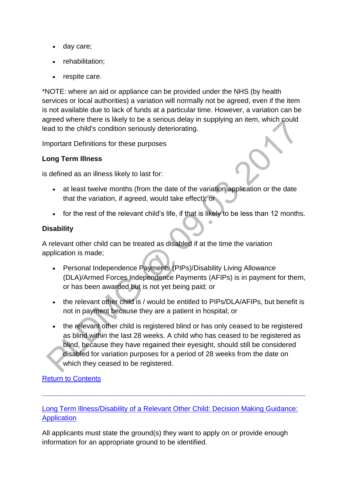- day care;
- rehabilitation;
- respite care.

\*NOTE: where an aid or appliance can be provided under the NHS (by health services or local authorities) a variation will normally not be agreed, even if the item is not available due to lack of funds at a particular time. However, a variation can be agreed where there is likely to be a serious delay in supplying an item, which could lead to the child's condition seriously deteriorating.

Important Definitions for these purposes

## **Long Term Illness**

is defined as an illness likely to last for:

- at least twelve months (from the date of the variation application or the date that the variation, if agreed, would take effect); or
- for the rest of the relevant child's life, if that is likely to be less than 12 months.

### **Disability**

A relevant other child can be treated as disabled if at the time the variation application is made;

- Personal Independence Payments (PIPs)/Disability Living Allowance (DLA)/Armed Forces Independence Payments (AFIPs) is in payment for them, or has been awarded but is not yet being paid; or
- the relevant other child is / would be entitled to PIPs/DLA/AFIPs, but benefit is not in payment because they are a patient in hospital; or
- the relevant other child is registered blind or has only ceased to be registered as blind within the last 28 weeks. A child who has ceased to be registered as blind, because they have regained their eyesight, should still be considered disabled for variation purposes for a period of 28 weeks from the date on which they ceased to be registered.

## [Return to Contents](http://np-cmg-sharepoint.link2.gpn.gov.uk/sites/policy-law-and-decision-making-guidance/Pages/Variations/Special%20Expenses/Long-Term-Illness--Disability-of-a-ROC.aspx#DMGcontents)

[Long Term Illness/Disability of a Relevant Other Child: Decision Making Guidance:](http://np-cmg-sharepoint.link2.gpn.gov.uk/sites/policy-law-and-decision-making-guidance/Pages/Variations/Special%20Expenses/Long-Term-Illness--Disability-of-a-ROC.aspx)  **[Application](http://np-cmg-sharepoint.link2.gpn.gov.uk/sites/policy-law-and-decision-making-guidance/Pages/Variations/Special%20Expenses/Long-Term-Illness--Disability-of-a-ROC.aspx)** 

All applicants must state the ground(s) they want to apply on or provide enough information for an appropriate ground to be identified.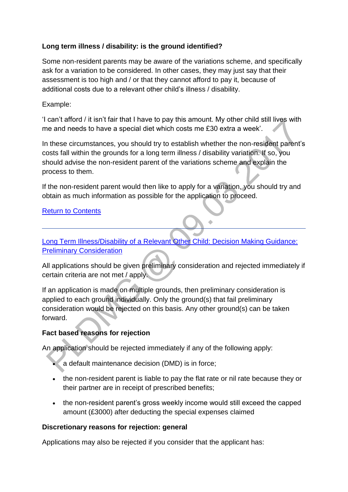## **Long term illness / disability: is the ground identified?**

Some non-resident parents may be aware of the variations scheme, and specifically ask for a variation to be considered. In other cases, they may just say that their assessment is too high and / or that they cannot afford to pay it, because of additional costs due to a relevant other child's illness / disability.

### Example:

'I can't afford / it isn't fair that I have to pay this amount. My other child still lives with me and needs to have a special diet which costs me £30 extra a week'.

In these circumstances, you should try to establish whether the non-resident parent's costs fall within the grounds for a long term illness / disability variation. If so, you should advise the non-resident parent of the variations scheme and explain the process to them.

If the non-resident parent would then like to apply for a variation, you should try and obtain as much information as possible for the application to proceed.

#### [Return to Contents](http://np-cmg-sharepoint.link2.gpn.gov.uk/sites/policy-law-and-decision-making-guidance/Pages/Variations/Special%20Expenses/Long-Term-Illness--Disability-of-a-ROC.aspx#DMGcontents)

[Long Term Illness/Disability of a Relevant Other Child: Decision Making Guidance:](http://np-cmg-sharepoint.link2.gpn.gov.uk/sites/policy-law-and-decision-making-guidance/Pages/Variations/Special%20Expenses/Long-Term-Illness--Disability-of-a-ROC.aspx)  [Preliminary Consideration](http://np-cmg-sharepoint.link2.gpn.gov.uk/sites/policy-law-and-decision-making-guidance/Pages/Variations/Special%20Expenses/Long-Term-Illness--Disability-of-a-ROC.aspx)

All applications should be given preliminary consideration and rejected immediately if certain criteria are not met / apply.

If an application is made on multiple grounds, then preliminary consideration is applied to each ground individually. Only the ground(s) that fail preliminary consideration would be rejected on this basis. Any other ground(s) can be taken forward.

### **Fact based reasons for rejection**

An application should be rejected immediately if any of the following apply:

- a default maintenance decision (DMD) is in force;
- the non-resident parent is liable to pay the flat rate or nil rate because they or their partner are in receipt of prescribed benefits;
- the non-resident parent's gross weekly income would still exceed the capped amount (£3000) after deducting the special expenses claimed

### **Discretionary reasons for rejection: general**

Applications may also be rejected if you consider that the applicant has: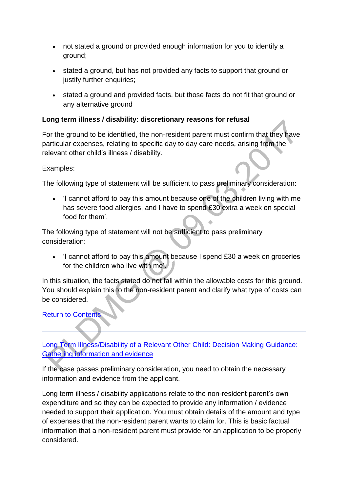- not stated a ground or provided enough information for you to identify a ground;
- stated a ground, but has not provided any facts to support that ground or justify further enquiries;
- stated a ground and provided facts, but those facts do not fit that ground or any alternative ground

## **Long term illness / disability: discretionary reasons for refusal**

For the ground to be identified, the non-resident parent must confirm that they have particular expenses, relating to specific day to day care needs, arising from the relevant other child's illness / disability.

### Examples:

The following type of statement will be sufficient to pass preliminary consideration:

 'I cannot afford to pay this amount because one of the children living with me has severe food allergies, and I have to spend £30 extra a week on special food for them'.

The following type of statement will not be sufficient to pass preliminary consideration:

 'I cannot afford to pay this amount because I spend £30 a week on groceries for the children who live with me'.

In this situation, the facts stated do not fall within the allowable costs for this ground. You should explain this to the non-resident parent and clarify what type of costs can be considered.

[Return to Contents](http://np-cmg-sharepoint.link2.gpn.gov.uk/sites/policy-law-and-decision-making-guidance/Pages/Variations/Special%20Expenses/Long-Term-Illness--Disability-of-a-ROC.aspx#DMGcontents)

# [Long Term Illness/Disability of a Relevant Other Child: Decision Making Guidance:](http://np-cmg-sharepoint.link2.gpn.gov.uk/sites/policy-law-and-decision-making-guidance/Pages/Variations/Special%20Expenses/Long-Term-Illness--Disability-of-a-ROC.aspx)  [Gathering information and evidence](http://np-cmg-sharepoint.link2.gpn.gov.uk/sites/policy-law-and-decision-making-guidance/Pages/Variations/Special%20Expenses/Long-Term-Illness--Disability-of-a-ROC.aspx)

If the case passes preliminary consideration, you need to obtain the necessary information and evidence from the applicant.

Long term illness / disability applications relate to the non-resident parent's own expenditure and so they can be expected to provide any information / evidence needed to support their application. You must obtain details of the amount and type of expenses that the non-resident parent wants to claim for. This is basic factual information that a non-resident parent must provide for an application to be properly considered.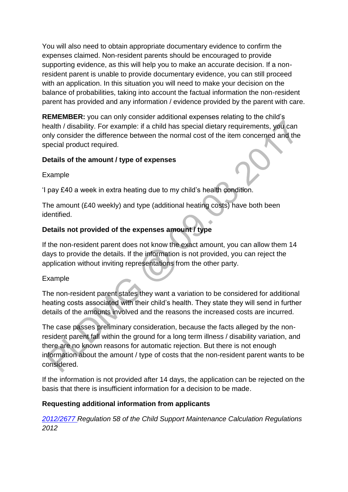You will also need to obtain appropriate documentary evidence to confirm the expenses claimed. Non-resident parents should be encouraged to provide supporting evidence, as this will help you to make an accurate decision. If a nonresident parent is unable to provide documentary evidence, you can still proceed with an application. In this situation you will need to make your decision on the balance of probabilities, taking into account the factual information the non-resident parent has provided and any information / evidence provided by the parent with care.

**REMEMBER:** you can only consider additional expenses relating to the child's health / disability. For example: if a child has special dietary requirements, you can only consider the difference between the normal cost of the item concerned and the special product required.

### **Details of the amount / type of expenses**

Example

'I pay £40 a week in extra heating due to my child's health condition.

The amount (£40 weekly) and type (additional heating costs) have both been identified.

## **Details not provided of the expenses amount / type**

If the non-resident parent does not know the exact amount, you can allow them 14 days to provide the details. If the information is not provided, you can reject the application without inviting representations from the other party.

### Example

The non-resident parent states they want a variation to be considered for additional heating costs associated with their child's health. They state they will send in further details of the amounts involved and the reasons the increased costs are incurred.

The case passes preliminary consideration, because the facts alleged by the nonresident parent fall within the ground for a long term illness / disability variation, and there are no known reasons for automatic rejection. But there is not enough information about the amount / type of costs that the non-resident parent wants to be considered.

If the information is not provided after 14 days, the application can be rejected on the basis that there is insufficient information for a decision to be made.

### **Requesting additional information from applicants**

*[2012/2677 R](http://www.legislation.gov.uk/uksi/2012/2677)egulation 58 of the Child Support Maintenance Calculation Regulations 2012*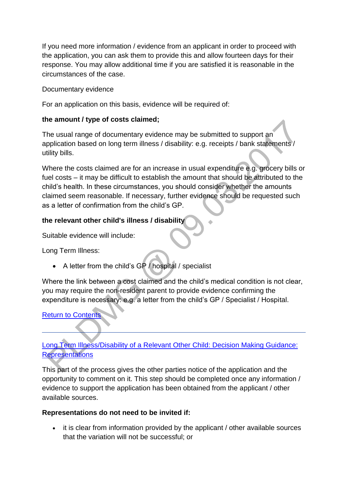If you need more information / evidence from an applicant in order to proceed with the application, you can ask them to provide this and allow fourteen days for their response. You may allow additional time if you are satisfied it is reasonable in the circumstances of the case.

## Documentary evidence

For an application on this basis, evidence will be required of:

## **the amount / type of costs claimed;**

The usual range of documentary evidence may be submitted to support an application based on long term illness / disability: e.g. receipts / bank statements / utility bills.

Where the costs claimed are for an increase in usual expenditure e.g. grocery bills or fuel costs – it may be difficult to establish the amount that should be attributed to the child's health. In these circumstances, you should consider whether the amounts claimed seem reasonable. If necessary, further evidence should be requested such as a letter of confirmation from the child's GP.

## **the relevant other child's illness / disability**

Suitable evidence will include:

Long Term Illness:

A letter from the child's GP / hospital / specialist

Where the link between a cost claimed and the child's medical condition is not clear, you may require the non-resident parent to provide evidence confirming the expenditure is necessary: e.g. a letter from the child's GP / Specialist / Hospital.

## **[Return to Contents](http://np-cmg-sharepoint.link2.gpn.gov.uk/sites/policy-law-and-decision-making-guidance/Pages/Variations/Special%20Expenses/Long-Term-Illness--Disability-of-a-ROC.aspx#DMGcontents)**

# [Long Term Illness/Disability of a Relevant Other Child: Decision Making Guidance:](http://np-cmg-sharepoint.link2.gpn.gov.uk/sites/policy-law-and-decision-making-guidance/Pages/Variations/Special%20Expenses/Long-Term-Illness--Disability-of-a-ROC.aspx)  **[Representations](http://np-cmg-sharepoint.link2.gpn.gov.uk/sites/policy-law-and-decision-making-guidance/Pages/Variations/Special%20Expenses/Long-Term-Illness--Disability-of-a-ROC.aspx)**

This part of the process gives the other parties notice of the application and the opportunity to comment on it. This step should be completed once any information / evidence to support the application has been obtained from the applicant / other available sources.

### **Representations do not need to be invited if:**

• it is clear from information provided by the applicant / other available sources that the variation will not be successful; or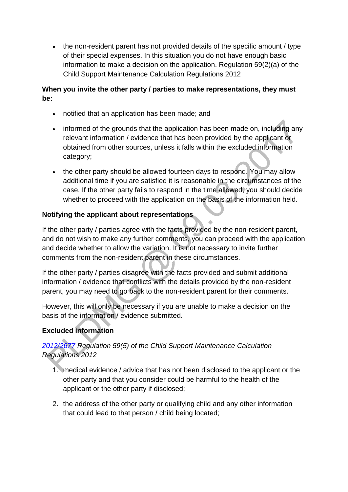• the non-resident parent has not provided details of the specific amount / type of their special expenses. In this situation you do not have enough basic information to make a decision on the application. Regulation 59(2)(a) of the Child Support Maintenance Calculation Regulations 2012

## **When you invite the other party / parties to make representations, they must be:**

- notified that an application has been made; and
- informed of the grounds that the application has been made on, including any relevant information / evidence that has been provided by the applicant or obtained from other sources, unless it falls within the excluded information category;
- the other party should be allowed fourteen days to respond. You may allow additional time if you are satisfied it is reasonable in the circumstances of the case. If the other party fails to respond in the time allowed, you should decide whether to proceed with the application on the basis of the information held.

# **Notifying the applicant about representations**

If the other party / parties agree with the facts provided by the non-resident parent, and do not wish to make any further comments, you can proceed with the application and decide whether to allow the variation. It is not necessary to invite further comments from the non-resident parent in these circumstances.

If the other party / parties disagree with the facts provided and submit additional information / evidence that conflicts with the details provided by the non-resident parent, you may need to go back to the non-resident parent for their comments.

However, this will only be necessary if you are unable to make a decision on the basis of the information / evidence submitted.

# **Excluded information**

# *[2012/2677 R](http://www.legislation.gov.uk/uksi/2012/2677)egulation 59(5) of the Child Support Maintenance Calculation Regulations 2012*

- 1. medical evidence / advice that has not been disclosed to the applicant or the other party and that you consider could be harmful to the health of the applicant or the other party if disclosed;
- 2. the address of the other party or qualifying child and any other information that could lead to that person / child being located;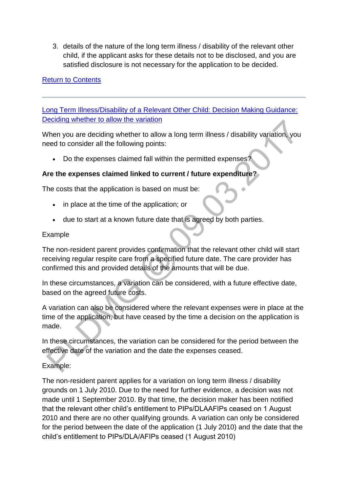3. details of the nature of the long term illness / disability of the relevant other child, if the applicant asks for these details not to be disclosed, and you are satisfied disclosure is not necessary for the application to be decided.

## [Return to Contents](http://np-cmg-sharepoint.link2.gpn.gov.uk/sites/policy-law-and-decision-making-guidance/Pages/Variations/Special%20Expenses/Long-Term-Illness--Disability-of-a-ROC.aspx#DMGcontents)

[Long Term Illness/Disability of a Relevant Other Child: Decision Making Guidance:](http://np-cmg-sharepoint.link2.gpn.gov.uk/sites/policy-law-and-decision-making-guidance/Pages/Variations/Special%20Expenses/Long-Term-Illness--Disability-of-a-ROC.aspx)  [Deciding whether to allow the](http://np-cmg-sharepoint.link2.gpn.gov.uk/sites/policy-law-and-decision-making-guidance/Pages/Variations/Special%20Expenses/Long-Term-Illness--Disability-of-a-ROC.aspx) variation

When you are deciding whether to allow a long term illness / disability variation, you need to consider all the following points:

Do the expenses claimed fall within the permitted expenses?

## **Are the expenses claimed linked to current / future expenditure?**

The costs that the application is based on must be:

- in place at the time of the application; or
- due to start at a known future date that is agreed by both parties.

#### Example

The non-resident parent provides confirmation that the relevant other child will start receiving regular respite care from a specified future date. The care provider has confirmed this and provided details of the amounts that will be due.

In these circumstances, a variation can be considered, with a future effective date, based on the agreed future costs.

A variation can also be considered where the relevant expenses were in place at the time of the application, but have ceased by the time a decision on the application is made.

In these circumstances, the variation can be considered for the period between the effective date of the variation and the date the expenses ceased.

Example:

The non-resident parent applies for a variation on long term illness / disability grounds on 1 July 2010. Due to the need for further evidence, a decision was not made until 1 September 2010. By that time, the decision maker has been notified that the relevant other child's entitlement to PIPs/DLAAFIPs ceased on 1 August 2010 and there are no other qualifying grounds. A variation can only be considered for the period between the date of the application (1 July 2010) and the date that the child's entitlement to PIPs/DLA/AFIPs ceased (1 August 2010)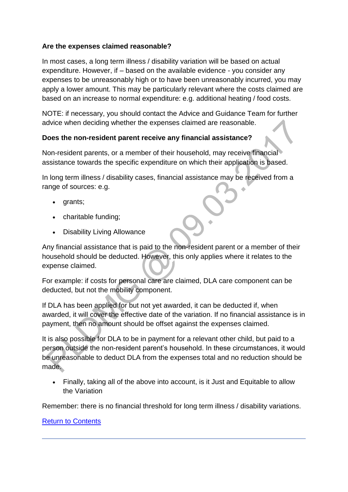## **Are the expenses claimed reasonable?**

In most cases, a long term illness / disability variation will be based on actual expenditure. However, if – based on the available evidence - you consider any expenses to be unreasonably high or to have been unreasonably incurred, you may apply a lower amount. This may be particularly relevant where the costs claimed are based on an increase to normal expenditure: e.g. additional heating / food costs.

NOTE: if necessary, you should contact the Advice and Guidance Team for further advice when deciding whether the expenses claimed are reasonable.

### **Does the non-resident parent receive any financial assistance?**

Non-resident parents, or a member of their household, may receive financial assistance towards the specific expenditure on which their application is based.

In long term illness / disability cases, financial assistance may be received from a range of sources: e.g.

- grants;
- charitable funding;
- Disability Living Allowance

Any financial assistance that is paid to the non-resident parent or a member of their household should be deducted. However, this only applies where it relates to the expense claimed.

For example: if costs for personal care are claimed, DLA care component can be deducted, but not the mobility component.

If DLA has been applied for but not yet awarded, it can be deducted if, when awarded, it will cover the effective date of the variation. If no financial assistance is in payment, then no amount should be offset against the expenses claimed.

It is also possible for DLA to be in payment for a relevant other child, but paid to a person outside the non-resident parent's household. In these circumstances, it would be unreasonable to deduct DLA from the expenses total and no reduction should be made.

 Finally, taking all of the above into account, is it Just and Equitable to allow the Variation

Remember: there is no financial threshold for long term illness / disability variations.

### [Return to Contents](http://np-cmg-sharepoint.link2.gpn.gov.uk/sites/policy-law-and-decision-making-guidance/Pages/Variations/Special%20Expenses/Long-Term-Illness--Disability-of-a-ROC.aspx#DMGcontents)